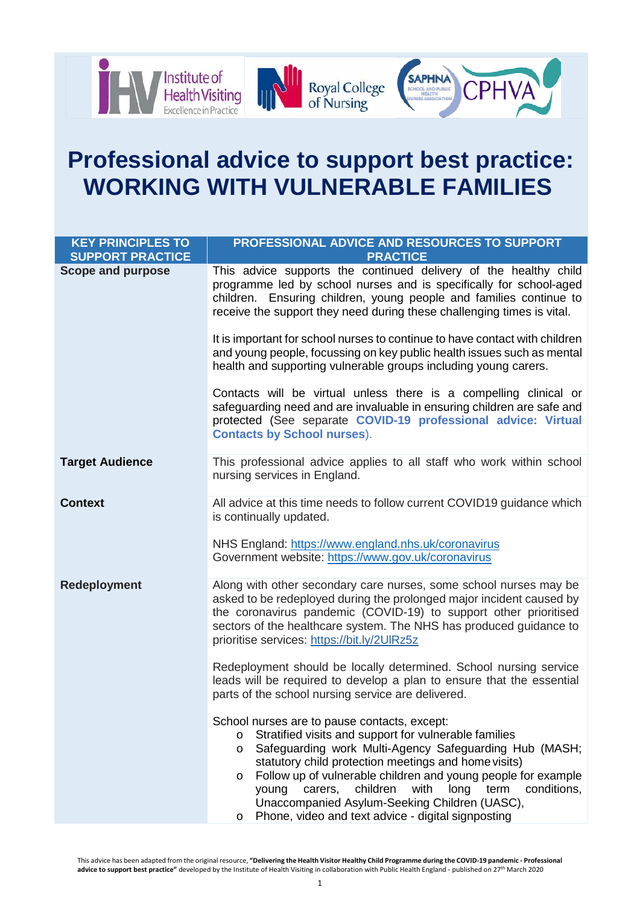

# **Professional advice to support best practice: WORKING WITH VULNERABLE FAMILIES**

| <b>KEY PRINCIPLES TO</b><br><b>SUPPORT PRACTICE</b> | PROFESSIONAL ADVICE AND RESOURCES TO SUPPORT<br><b>PRACTICE</b>                                                                                                                                                                                                                                                                                                                                                                                                                                                    |
|-----------------------------------------------------|--------------------------------------------------------------------------------------------------------------------------------------------------------------------------------------------------------------------------------------------------------------------------------------------------------------------------------------------------------------------------------------------------------------------------------------------------------------------------------------------------------------------|
| <b>Scope and purpose</b>                            | This advice supports the continued delivery of the healthy child<br>programme led by school nurses and is specifically for school-aged<br>children. Ensuring children, young people and families continue to<br>receive the support they need during these challenging times is vital.                                                                                                                                                                                                                             |
|                                                     | It is important for school nurses to continue to have contact with children<br>and young people, focussing on key public health issues such as mental<br>health and supporting vulnerable groups including young carers.                                                                                                                                                                                                                                                                                           |
|                                                     | Contacts will be virtual unless there is a compelling clinical or<br>safeguarding need and are invaluable in ensuring children are safe and<br>protected (See separate COVID-19 professional advice: Virtual<br><b>Contacts by School nurses).</b>                                                                                                                                                                                                                                                                 |
| <b>Target Audience</b>                              | This professional advice applies to all staff who work within school<br>nursing services in England.                                                                                                                                                                                                                                                                                                                                                                                                               |
| <b>Context</b>                                      | All advice at this time needs to follow current COVID19 guidance which<br>is continually updated.                                                                                                                                                                                                                                                                                                                                                                                                                  |
|                                                     | NHS England: https://www.england.nhs.uk/coronavirus<br>Government website: https://www.gov.uk/coronavirus                                                                                                                                                                                                                                                                                                                                                                                                          |
| <b>Redeployment</b>                                 | Along with other secondary care nurses, some school nurses may be<br>asked to be redeployed during the prolonged major incident caused by<br>the coronavirus pandemic (COVID-19) to support other prioritised<br>sectors of the healthcare system. The NHS has produced guidance to<br>prioritise services: https://bit.ly/2UIRz5z                                                                                                                                                                                 |
|                                                     | Redeployment should be locally determined. School nursing service<br>leads will be required to develop a plan to ensure that the essential<br>parts of the school nursing service are delivered.                                                                                                                                                                                                                                                                                                                   |
|                                                     | School nurses are to pause contacts, except:<br>Stratified visits and support for vulnerable families<br>$\circ$<br>Safeguarding work Multi-Agency Safeguarding Hub (MASH;<br>$\circ$<br>statutory child protection meetings and home visits)<br>Follow up of vulnerable children and young people for example<br>$\circ$<br>children<br>with<br>carers,<br>long<br>term<br>conditions,<br>young<br>Unaccompanied Asylum-Seeking Children (UASC),<br>Phone, video and text advice - digital signposting<br>$\circ$ |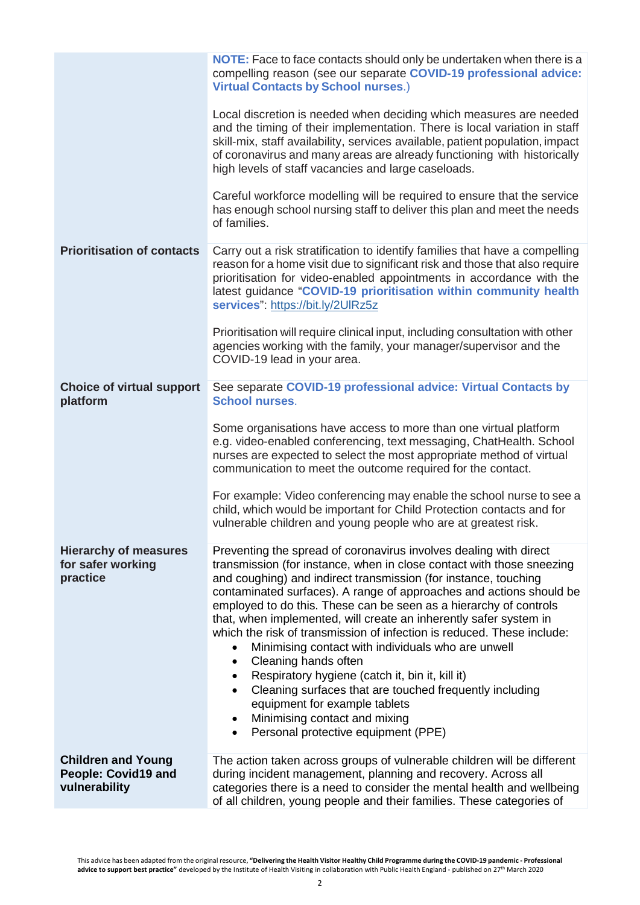|                                                                   | <b>NOTE:</b> Face to face contacts should only be undertaken when there is a<br>compelling reason (see our separate COVID-19 professional advice:<br><b>Virtual Contacts by School nurses.)</b><br>Local discretion is needed when deciding which measures are needed<br>and the timing of their implementation. There is local variation in staff<br>skill-mix, staff availability, services available, patient population, impact<br>of coronavirus and many areas are already functioning with historically<br>high levels of staff vacancies and large caseloads.<br>Careful workforce modelling will be required to ensure that the service<br>has enough school nursing staff to deliver this plan and meet the needs<br>of families.                                                                                                               |
|-------------------------------------------------------------------|-----------------------------------------------------------------------------------------------------------------------------------------------------------------------------------------------------------------------------------------------------------------------------------------------------------------------------------------------------------------------------------------------------------------------------------------------------------------------------------------------------------------------------------------------------------------------------------------------------------------------------------------------------------------------------------------------------------------------------------------------------------------------------------------------------------------------------------------------------------|
| <b>Prioritisation of contacts</b>                                 | Carry out a risk stratification to identify families that have a compelling<br>reason for a home visit due to significant risk and those that also require<br>prioritisation for video-enabled appointments in accordance with the<br>latest guidance "COVID-19 prioritisation within community health<br>services": https://bit.ly/2UIRz5z<br>Prioritisation will require clinical input, including consultation with other<br>agencies working with the family, your manager/supervisor and the<br>COVID-19 lead in your area.                                                                                                                                                                                                                                                                                                                          |
| <b>Choice of virtual support</b><br>platform                      | See separate COVID-19 professional advice: Virtual Contacts by<br><b>School nurses.</b><br>Some organisations have access to more than one virtual platform<br>e.g. video-enabled conferencing, text messaging, ChatHealth. School<br>nurses are expected to select the most appropriate method of virtual<br>communication to meet the outcome required for the contact.<br>For example: Video conferencing may enable the school nurse to see a<br>child, which would be important for Child Protection contacts and for<br>vulnerable children and young people who are at greatest risk.                                                                                                                                                                                                                                                              |
| <b>Hierarchy of measures</b><br>for safer working<br>practice     | Preventing the spread of coronavirus involves dealing with direct<br>transmission (for instance, when in close contact with those sneezing<br>and coughing) and indirect transmission (for instance, touching<br>contaminated surfaces). A range of approaches and actions should be<br>employed to do this. These can be seen as a hierarchy of controls<br>that, when implemented, will create an inherently safer system in<br>which the risk of transmission of infection is reduced. These include:<br>Minimising contact with individuals who are unwell<br>$\bullet$<br>Cleaning hands often<br>٠<br>Respiratory hygiene (catch it, bin it, kill it)<br>$\bullet$<br>Cleaning surfaces that are touched frequently including<br>$\bullet$<br>equipment for example tablets<br>Minimising contact and mixing<br>Personal protective equipment (PPE) |
| <b>Children and Young</b><br>People: Covid19 and<br>vulnerability | The action taken across groups of vulnerable children will be different<br>during incident management, planning and recovery. Across all<br>categories there is a need to consider the mental health and wellbeing<br>of all children, young people and their families. These categories of                                                                                                                                                                                                                                                                                                                                                                                                                                                                                                                                                               |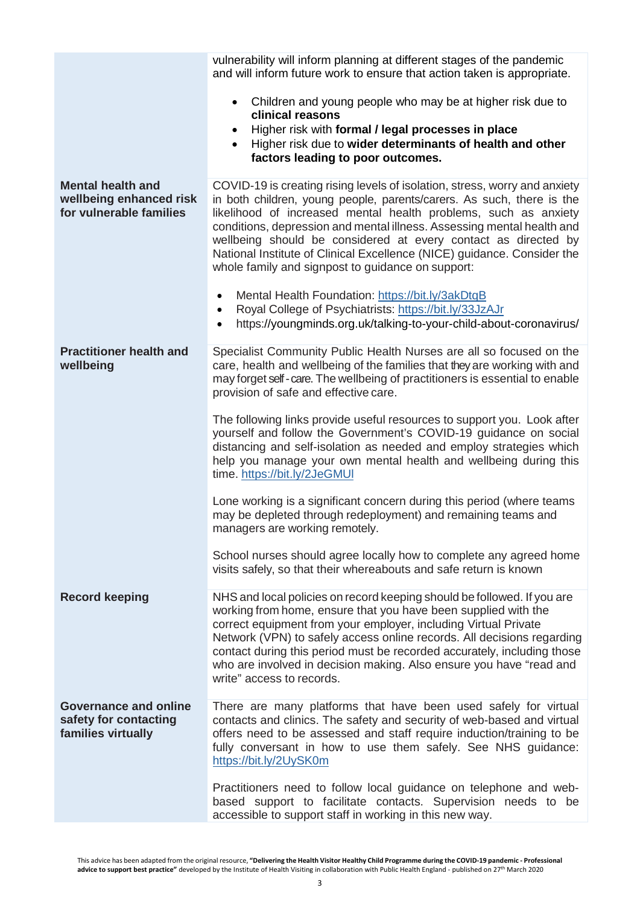|                                                                                | vulnerability will inform planning at different stages of the pandemic<br>and will inform future work to ensure that action taken is appropriate.                                                                                                                                                                                                                                                                                                                                                  |
|--------------------------------------------------------------------------------|----------------------------------------------------------------------------------------------------------------------------------------------------------------------------------------------------------------------------------------------------------------------------------------------------------------------------------------------------------------------------------------------------------------------------------------------------------------------------------------------------|
|                                                                                | Children and young people who may be at higher risk due to<br>clinical reasons                                                                                                                                                                                                                                                                                                                                                                                                                     |
|                                                                                | Higher risk with formal / legal processes in place<br>$\bullet$<br>Higher risk due to wider determinants of health and other<br>factors leading to poor outcomes.                                                                                                                                                                                                                                                                                                                                  |
| <b>Mental health and</b><br>wellbeing enhanced risk<br>for vulnerable families | COVID-19 is creating rising levels of isolation, stress, worry and anxiety<br>in both children, young people, parents/carers. As such, there is the<br>likelihood of increased mental health problems, such as anxiety<br>conditions, depression and mental illness. Assessing mental health and<br>wellbeing should be considered at every contact as directed by<br>National Institute of Clinical Excellence (NICE) guidance. Consider the<br>whole family and signpost to guidance on support: |
|                                                                                | Mental Health Foundation: https://bit.ly/3akDtqB<br>$\bullet$<br>Royal College of Psychiatrists: https://bit.ly/33JzAJr<br>$\bullet$<br>https://youngminds.org.uk/talking-to-your-child-about-coronavirus/<br>$\bullet$                                                                                                                                                                                                                                                                            |
| <b>Practitioner health and</b><br>wellbeing                                    | Specialist Community Public Health Nurses are all so focused on the<br>care, health and wellbeing of the families that they are working with and<br>may forget self - care. The wellbeing of practitioners is essential to enable<br>provision of safe and effective care.                                                                                                                                                                                                                         |
|                                                                                | The following links provide useful resources to support you. Look after<br>yourself and follow the Government's COVID-19 guidance on social<br>distancing and self-isolation as needed and employ strategies which<br>help you manage your own mental health and wellbeing during this<br>time. https://bit.ly/2JeGMUI                                                                                                                                                                             |
|                                                                                | Lone working is a significant concern during this period (where teams<br>may be depleted through redeployment) and remaining teams and<br>managers are working remotely.                                                                                                                                                                                                                                                                                                                           |
|                                                                                | School nurses should agree locally how to complete any agreed home<br>visits safely, so that their whereabouts and safe return is known                                                                                                                                                                                                                                                                                                                                                            |
| <b>Record keeping</b>                                                          | NHS and local policies on record keeping should be followed. If you are<br>working from home, ensure that you have been supplied with the<br>correct equipment from your employer, including Virtual Private<br>Network (VPN) to safely access online records. All decisions regarding<br>contact during this period must be recorded accurately, including those<br>who are involved in decision making. Also ensure you have "read and<br>write" access to records.                              |
| Governance and online<br>safety for contacting<br>families virtually           | There are many platforms that have been used safely for virtual<br>contacts and clinics. The safety and security of web-based and virtual<br>offers need to be assessed and staff require induction/training to be<br>fully conversant in how to use them safely. See NHS guidance:<br>https://bit.ly/2UySK0m                                                                                                                                                                                      |
|                                                                                | Practitioners need to follow local guidance on telephone and web-<br>based support to facilitate contacts. Supervision needs to be<br>accessible to support staff in working in this new way.                                                                                                                                                                                                                                                                                                      |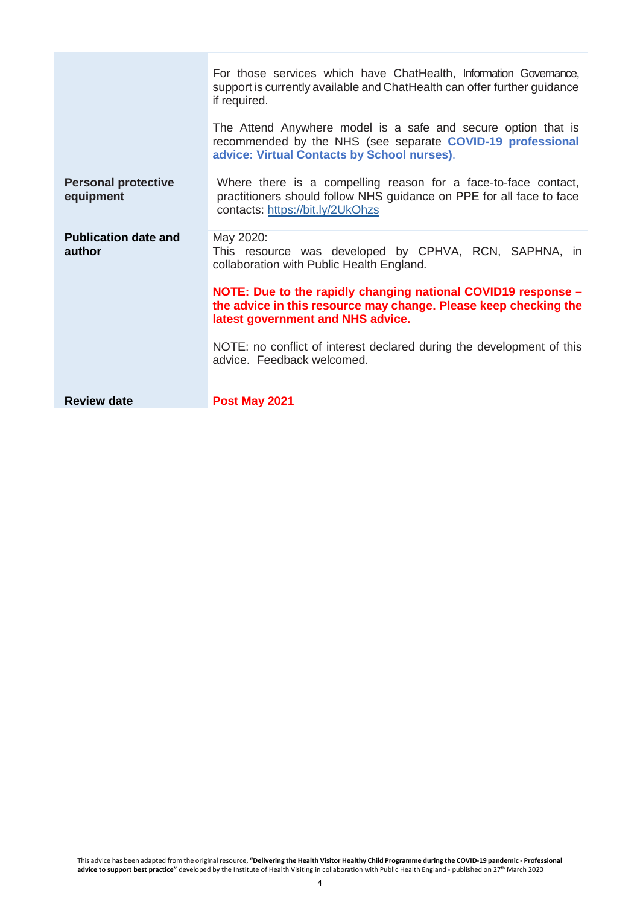|                                         | For those services which have ChatHealth, Information Governance,<br>support is currently available and ChatHealth can offer further guidance<br>if required.              |
|-----------------------------------------|----------------------------------------------------------------------------------------------------------------------------------------------------------------------------|
|                                         | The Attend Anywhere model is a safe and secure option that is<br>recommended by the NHS (see separate COVID-19 professional<br>advice: Virtual Contacts by School nurses). |
| <b>Personal protective</b><br>equipment | Where there is a compelling reason for a face-to-face contact,<br>practitioners should follow NHS guidance on PPE for all face to face<br>contacts: https://bit.ly/2UkOhzs |
| <b>Publication date and</b><br>author   | May 2020:<br>This resource was developed by CPHVA, RCN, SAPHNA, in<br>collaboration with Public Health England.                                                            |
|                                         | NOTE: Due to the rapidly changing national COVID19 response -<br>the advice in this resource may change. Please keep checking the<br>latest government and NHS advice.     |
|                                         | NOTE: no conflict of interest declared during the development of this<br>advice. Feedback welcomed.                                                                        |
| <b>Review date</b>                      | Post May 2021                                                                                                                                                              |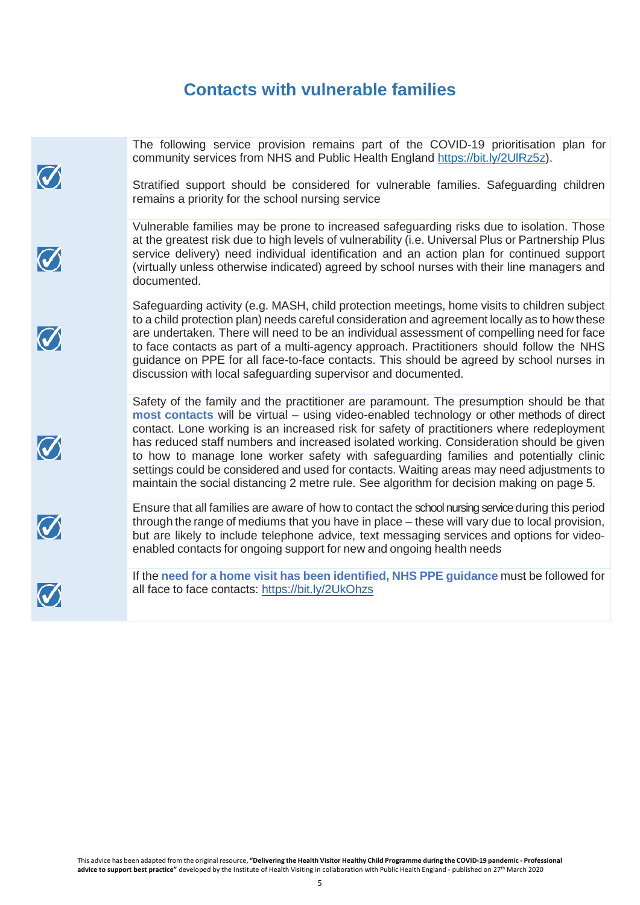# **Contacts with vulnerable families**

| $\bigcirc$ | The following service provision remains part of the COVID-19 prioritisation plan for<br>community services from NHS and Public Health England https://bit.ly/2UIRz5z).<br>Stratified support should be considered for vulnerable families. Safeguarding children<br>remains a priority for the school nursing service                                                                                                                                                                                                                                                                                                                                           |
|------------|-----------------------------------------------------------------------------------------------------------------------------------------------------------------------------------------------------------------------------------------------------------------------------------------------------------------------------------------------------------------------------------------------------------------------------------------------------------------------------------------------------------------------------------------------------------------------------------------------------------------------------------------------------------------|
| $\bigcirc$ | Vulnerable families may be prone to increased safeguarding risks due to isolation. Those<br>at the greatest risk due to high levels of vulnerability (i.e. Universal Plus or Partnership Plus<br>service delivery) need individual identification and an action plan for continued support<br>(virtually unless otherwise indicated) agreed by school nurses with their line managers and<br>documented.                                                                                                                                                                                                                                                        |
| $\bigcirc$ | Safeguarding activity (e.g. MASH, child protection meetings, home visits to children subject<br>to a child protection plan) needs careful consideration and agreement locally as to how these<br>are undertaken. There will need to be an individual assessment of compelling need for face<br>to face contacts as part of a multi-agency approach. Practitioners should follow the NHS<br>guidance on PPE for all face-to-face contacts. This should be agreed by school nurses in<br>discussion with local safeguarding supervisor and documented.                                                                                                            |
| $\bigcirc$ | Safety of the family and the practitioner are paramount. The presumption should be that<br>most contacts will be virtual - using video-enabled technology or other methods of direct<br>contact. Lone working is an increased risk for safety of practitioners where redeployment<br>has reduced staff numbers and increased isolated working. Consideration should be given<br>to how to manage lone worker safety with safeguarding families and potentially clinic<br>settings could be considered and used for contacts. Waiting areas may need adjustments to<br>maintain the social distancing 2 metre rule. See algorithm for decision making on page 5. |
| $\bigcirc$ | Ensure that all families are aware of how to contact the school nursing service during this period<br>through the range of mediums that you have in place – these will vary due to local provision,<br>but are likely to include telephone advice, text messaging services and options for video-<br>enabled contacts for ongoing support for new and ongoing health needs                                                                                                                                                                                                                                                                                      |
| $\bigcirc$ | If the need for a home visit has been identified, NHS PPE guidance must be followed for<br>all face to face contacts: https://bit.ly/2UkOhzs                                                                                                                                                                                                                                                                                                                                                                                                                                                                                                                    |